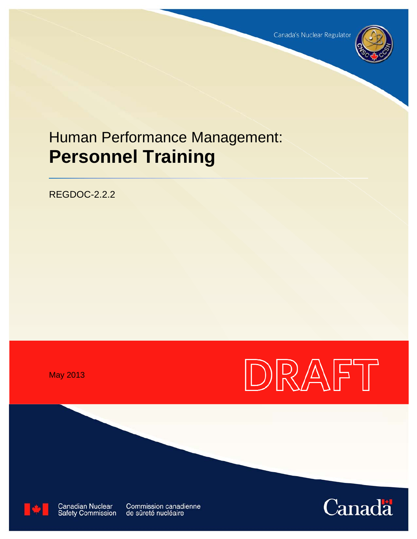Canada's Nuclear Regulator



# Human Performance Management: **Personnel Training**

REGDOC-2.2.2

May 2013





**Canadian Nuclear Safety Commission**  Commission canadienne de sûreté nucléaire

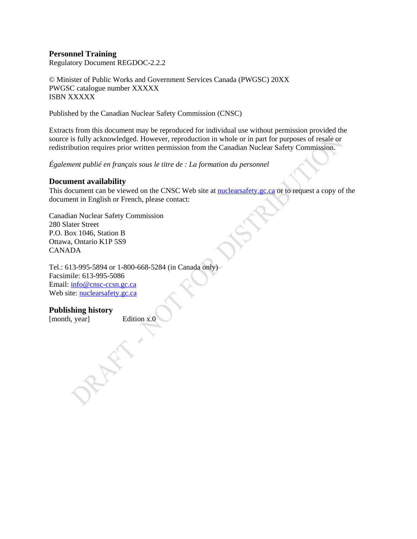## **Personnel Training**

Regulatory Document REGDOC-2.2.2

© Minister of Public Works and Government Services Canada (PWGSC) 20XX PWGSC catalogue number XXXXX ISBN XXXXX

Published by the Canadian Nuclear Safety Commission (CNSC)

Extracts from this document may be reproduced for individual use without permission provided the source is fully acknowledged. However, reproduction in whole or in part for purposes of resale or redistribution requires prior written permission from the Canadian Nuclear Safety Commission.

*Également publié en français sous le titre de : La formation du personnel* 

#### **Document availability**

This document can be viewed on the CNSC Web site at **nuclearsafety.gc.ca** or to request a copy of the document in English or French, please contact:

Canadian Nuclear Safety Commission 280 Slater Street P.O. Box 1046, Station B Ottawa, Ontario K1P 5S9 CANADA

Tel.: 613-995-5894 or 1-800-668-5284 (in Canada only) Facsimile: 613-995-5086 Email: [info@cnsc-ccsn.gc.ca](mailto:info@cnsc-ccsn.gc.ca) Web site: [nuclearsafety.gc.ca](http://www.nuclearsafety.gc.ca/)

#### **Publishing history**

[month, year] Edition x.0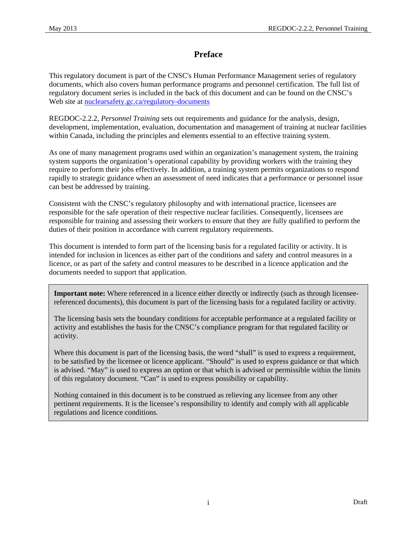# **Preface**

This regulatory document is part of the CNSC's Human Performance Management series of regulatory documents, which also covers human performance programs and personnel certification. The full list of regulatory document series is included in the back of this document and can be found on the CNSC's Web site at [nuclearsafety.gc.ca/regulatory-documents](http://www.nuclearsafety.gc.ca/regulatory-documents)

REGDOC-2.2.2, *Personnel Training* sets out requirements and guidance for the analysis, design, development, implementation, evaluation, documentation and management of training at nuclear facilities within Canada, including the principles and elements essential to an effective training system.

As one of many management programs used within an organization's management system, the training system supports the organization's operational capability by providing workers with the training they require to perform their jobs effectively. In addition, a training system permits organizations to respond rapidly to strategic guidance when an assessment of need indicates that a performance or personnel issue can best be addressed by training.

Consistent with the CNSC's regulatory philosophy and with international practice, licensees are responsible for the safe operation of their respective nuclear facilities. Consequently, licensees are responsible for training and assessing their workers to ensure that they are fully qualified to perform the duties of their position in accordance with current regulatory requirements.

This document is intended to form part of the licensing basis for a regulated facility or activity. It is intended for inclusion in licences as either part of the conditions and safety and control measures in a licence, or as part of the safety and control measures to be described in a licence application and the documents needed to support that application.

**Important note:** Where referenced in a licence either directly or indirectly (such as through licenseereferenced documents), this document is part of the licensing basis for a regulated facility or activity.

The licensing basis sets the boundary conditions for acceptable performance at a regulated facility or activity and establishes the basis for the CNSC's compliance program for that regulated facility or activity.

Where this document is part of the licensing basis, the word "shall" is used to express a requirement, to be satisfied by the licensee or licence applicant. "Should" is used to express guidance or that which is advised. "May" is used to express an option or that which is advised or permissible within the limits of this regulatory document. "Can" is used to express possibility or capability.

Nothing contained in this document is to be construed as relieving any licensee from any other pertinent requirements. It is the licensee's responsibility to identify and comply with all applicable regulations and licence conditions.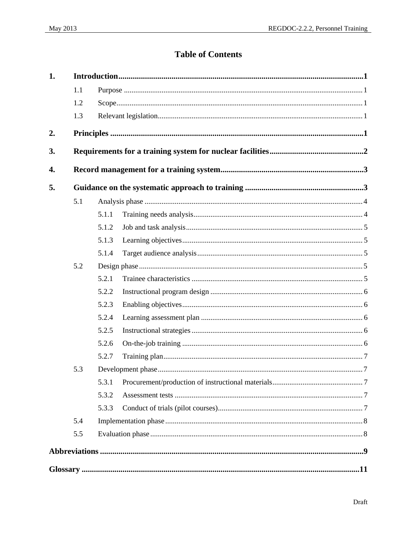# **Table of Contents**

| 1. |     |       |  |  |  |
|----|-----|-------|--|--|--|
|    | 1.1 |       |  |  |  |
|    | 1.2 |       |  |  |  |
|    | 1.3 |       |  |  |  |
| 2. |     |       |  |  |  |
| 3. |     |       |  |  |  |
| 4. |     |       |  |  |  |
| 5. |     |       |  |  |  |
|    | 5.1 |       |  |  |  |
|    |     | 5.1.1 |  |  |  |
|    |     | 5.1.2 |  |  |  |
|    |     | 5.1.3 |  |  |  |
|    |     | 5.1.4 |  |  |  |
|    | 5.2 |       |  |  |  |
|    |     | 5.2.1 |  |  |  |
|    |     | 5.2.2 |  |  |  |
|    |     | 5.2.3 |  |  |  |
|    |     | 5.2.4 |  |  |  |
|    |     | 5.2.5 |  |  |  |
|    |     | 5.2.6 |  |  |  |
|    |     | 5.2.7 |  |  |  |
|    | 5.3 |       |  |  |  |
|    |     | 5.3.1 |  |  |  |
|    |     | 5.3.2 |  |  |  |
|    |     | 5.3.3 |  |  |  |
|    | 5.4 |       |  |  |  |
|    | 5.5 |       |  |  |  |
|    |     |       |  |  |  |
|    |     |       |  |  |  |
|    |     |       |  |  |  |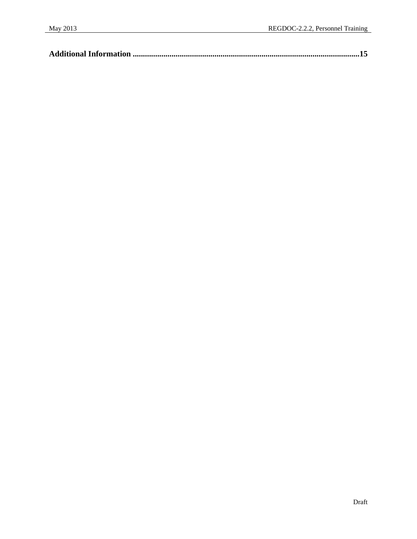|--|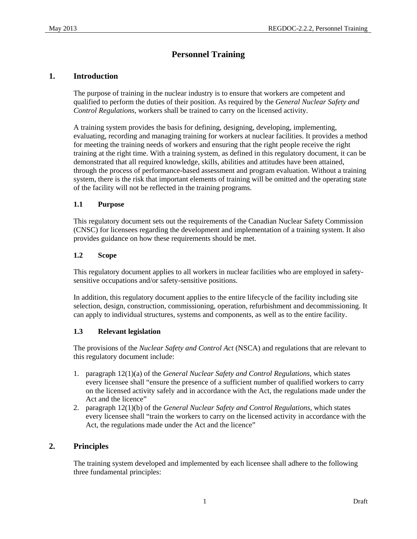# **Personnel Training**

## <span id="page-6-0"></span>**1. Introduction**

The purpose of training in the nuclear industry is to ensure that workers are competent and qualified to perform the duties of their position. As required by the *General Nuclear Safety and Control Regulations*, workers shall be trained to carry on the licensed activity.

A training system provides the basis for defining, designing, developing, implementing, evaluating, recording and managing training for workers at nuclear facilities. It provides a method for meeting the training needs of workers and ensuring that the right people receive the right training at the right time. With a training system, as defined in this regulatory document, it can be demonstrated that all required knowledge, skills, abilities and attitudes have been attained, through the process of performance-based assessment and program evaluation. Without a training system, there is the risk that important elements of training will be omitted and the operating state of the facility will not be reflected in the training programs.

## **1.1 Purpose**

This regulatory document sets out the requirements of the Canadian Nuclear Safety Commission (CNSC) for licensees regarding the development and implementation of a training system. It also provides guidance on how these requirements should be met.

## **1.2 Scope**

This regulatory document applies to all workers in nuclear facilities who are employed in safetysensitive occupations and/or safety-sensitive positions.

In addition, this regulatory document applies to the entire lifecycle of the facility including site selection, design, construction, commissioning, operation, refurbishment and decommissioning. It can apply to individual structures, systems and components, as well as to the entire facility.

## **1.3 Relevant legislation**

The provisions of the *Nuclear Safety and Control Act* (NSCA) and regulations that are relevant to this regulatory document include:

- 1. paragraph 12(1)(a) of the *General Nuclear Safety and Control Regulations*, which states every licensee shall "ensure the presence of a sufficient number of qualified workers to carry on the licensed activity safely and in accordance with the Act, the regulations made under the Act and the licence"
- 2. paragraph 12(1)(b) of the *General Nuclear Safety and Control Regulations*, which states every licensee shall "train the workers to carry on the licensed activity in accordance with the Act, the regulations made under the Act and the licence"

## **2. Principles**

The training system developed and implemented by each licensee shall adhere to the following three fundamental principles: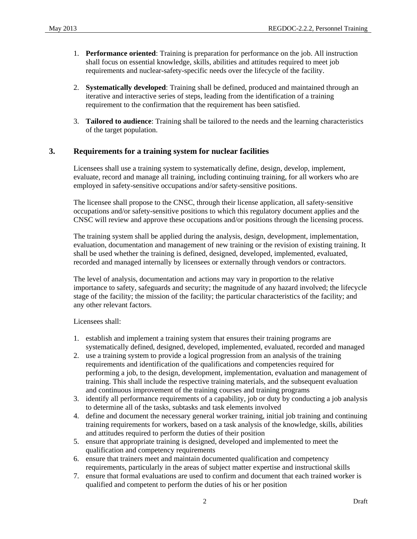- <span id="page-7-0"></span>1. **Performance oriented**: Training is preparation for performance on the job. All instruction shall focus on essential knowledge, skills, abilities and attitudes required to meet job requirements and nuclear-safety-specific needs over the lifecycle of the facility.
- 2. **Systematically developed**: Training shall be defined, produced and maintained through an iterative and interactive series of steps, leading from the identification of a training requirement to the confirmation that the requirement has been satisfied.
- 3. **Tailored to audience**: Training shall be tailored to the needs and the learning characteristics of the target population.

## **3. Requirements for a training system for nuclear facilities**

Licensees shall use a training system to systematically define, design, develop, implement, evaluate, record and manage all training, including continuing training, for all workers who are employed in safety-sensitive occupations and/or safety-sensitive positions.

The licensee shall propose to the CNSC, through their license application, all safety-sensitive occupations and/or safety-sensitive positions to which this regulatory document applies and the CNSC will review and approve these occupations and/or positions through the licensing process.

The training system shall be applied during the analysis, design, development, implementation, evaluation, documentation and management of new training or the revision of existing training. It shall be used whether the training is defined, designed, developed, implemented, evaluated, recorded and managed internally by licensees or externally through vendors or contractors.

The level of analysis, documentation and actions may vary in proportion to the relative importance to safety, safeguards and security; the magnitude of any hazard involved; the lifecycle stage of the facility; the mission of the facility; the particular characteristics of the facility; and any other relevant factors.

Licensees shall:

- 1. establish and implement a training system that ensures their training programs are systematically defined, designed, developed, implemented, evaluated, recorded and managed
- 2. use a training system to provide a logical progression from an analysis of the training requirements and identification of the qualifications and competencies required for performing a job, to the design, development, implementation, evaluation and management of training. This shall include the respective training materials, and the subsequent evaluation and continuous improvement of the training courses and training programs
- 3. identify all performance requirements of a capability, job or duty by conducting a job analysis to determine all of the tasks, subtasks and task elements involved
- 4. define and document the necessary general worker training, initial job training and continuing training requirements for workers, based on a task analysis of the knowledge, skills, abilities and attitudes required to perform the duties of their position
- 5. ensure that appropriate training is designed, developed and implemented to meet the qualification and competency requirements
- 6. ensure that trainers meet and maintain documented qualification and competency requirements, particularly in the areas of subject matter expertise and instructional skills
- 7. ensure that formal evaluations are used to confirm and document that each trained worker is qualified and competent to perform the duties of his or her position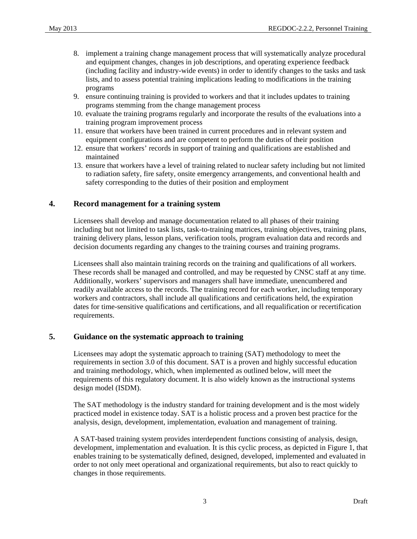- <span id="page-8-0"></span>8. implement a training change management process that will systematically analyze procedural and equipment changes, changes in job descriptions, and operating experience feedback (including facility and industry-wide events) in order to identify changes to the tasks and task lists, and to assess potential training implications leading to modifications in the training programs
- 9. ensure continuing training is provided to workers and that it includes updates to training programs stemming from the change management process
- 10. evaluate the training programs regularly and incorporate the results of the evaluations into a training program improvement process
- 11. ensure that workers have been trained in current procedures and in relevant system and equipment configurations and are competent to perform the duties of their position
- 12. ensure that workers' records in support of training and qualifications are established and maintained
- 13. ensure that workers have a level of training related to nuclear safety including but not limited to radiation safety, fire safety, onsite emergency arrangements, and conventional health and safety corresponding to the duties of their position and employment

## **4. Record management for a training system**

Licensees shall develop and manage documentation related to all phases of their training including but not limited to task lists, task-to-training matrices, training objectives, training plans, training delivery plans, lesson plans, verification tools, program evaluation data and records and decision documents regarding any changes to the training courses and training programs.

Licensees shall also maintain training records on the training and qualifications of all workers. These records shall be managed and controlled, and may be requested by CNSC staff at any time. Additionally, workers' supervisors and managers shall have immediate, unencumbered and readily available access to the records. The training record for each worker, including temporary workers and contractors, shall include all qualifications and certifications held, the expiration dates for time-sensitive qualifications and certifications, and all requalification or recertification requirements.

## **5. Guidance on the systematic approach to training**

Licensees may adopt the systematic approach to training (SAT) methodology to meet the requirements in section 3.0 of this document. SAT is a proven and highly successful education and training methodology, which, when implemented as outlined below, will meet the requirements of this regulatory document. It is also widely known as the instructional systems design model (ISDM).

The SAT methodology is the industry standard for training development and is the most widely practiced model in existence today. SAT is a holistic process and a proven best practice for the analysis, design, development, implementation, evaluation and management of training.

A SAT-based training system provides interdependent functions consisting of analysis, design, development, implementation and evaluation. It is this cyclic process, as depicted in Figure 1, that enables training to be systematically defined, designed, developed, implemented and evaluated in order to not only meet operational and organizational requirements, but also to react quickly to changes in those requirements.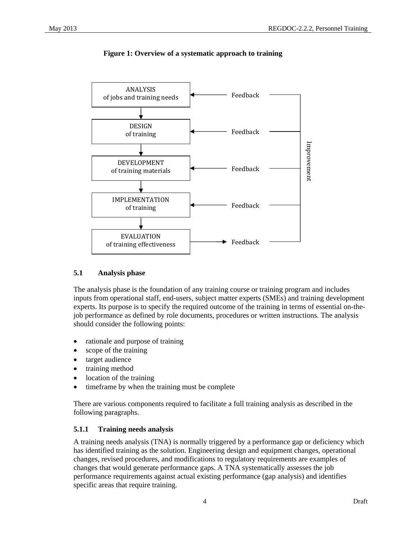<span id="page-9-0"></span>

**Figure 1: Overview of a systematic approach to training** 

#### **5.1 Analysis phase**

The analysis phase is the foundation of any training course or training program and includes inputs from operational staff, end-users, subject matter experts (SMEs) and training development experts. Its purpose is to specify the required outcome of the training in terms of essential on-thejob performance as defined by role documents, procedures or written instructions. The analysis should consider the following points:

- rationale and purpose of training
- scope of the training
- target audience
- training method
- location of the training
- timeframe by when the training must be complete

There are various components required to facilitate a full training analysis as described in the following paragraphs.

#### **5.1.1 Training needs analysis**

A training needs analysis (TNA) is normally triggered by a performance gap or deficiency which has identified training as the solution. Engineering design and equipment changes, operational changes, revised procedures, and modifications to regulatory requirements are examples of changes that would generate performance gaps. A TNA systematically assesses the job performance requirements against actual existing performance (gap analysis) and identifies specific areas that require training.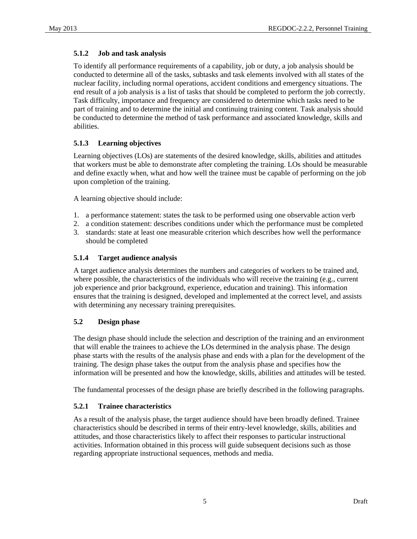## <span id="page-10-0"></span>**5.1.2 Job and task analysis**

To identify all performance requirements of a capability, job or duty, a job analysis should be conducted to determine all of the tasks, subtasks and task elements involved with all states of the nuclear facility, including normal operations, accident conditions and emergency situations. The end result of a job analysis is a list of tasks that should be completed to perform the job correctly. Task difficulty, importance and frequency are considered to determine which tasks need to be part of training and to determine the initial and continuing training content. Task analysis should be conducted to determine the method of task performance and associated knowledge, skills and abilities.

## **5.1.3 Learning objectives**

Learning objectives (LOs) are statements of the desired knowledge, skills, abilities and attitudes that workers must be able to demonstrate after completing the training. LOs should be measurable and define exactly when, what and how well the trainee must be capable of performing on the job upon completion of the training.

A learning objective should include:

- 1. a performance statement: states the task to be performed using one observable action verb
- 2. a condition statement: describes conditions under which the performance must be completed
- 3. standards: state at least one measurable criterion which describes how well the performance should be completed

## **5.1.4 Target audience analysis**

A target audience analysis determines the numbers and categories of workers to be trained and, where possible, the characteristics of the individuals who will receive the training (e.g., current job experience and prior background, experience, education and training). This information ensures that the training is designed, developed and implemented at the correct level, and assists with determining any necessary training prerequisites.

#### **5.2 Design phase**

The design phase should include the selection and description of the training and an environment that will enable the trainees to achieve the LOs determined in the analysis phase. The design phase starts with the results of the analysis phase and ends with a plan for the development of the training. The design phase takes the output from the analysis phase and specifies how the information will be presented and how the knowledge, skills, abilities and attitudes will be tested.

The fundamental processes of the design phase are briefly described in the following paragraphs.

## **5.2.1 Trainee characteristics**

As a result of the analysis phase, the target audience should have been broadly defined. Trainee characteristics should be described in terms of their entry-level knowledge, skills, abilities and attitudes, and those characteristics likely to affect their responses to particular instructional activities. Information obtained in this process will guide subsequent decisions such as those regarding appropriate instructional sequences, methods and media.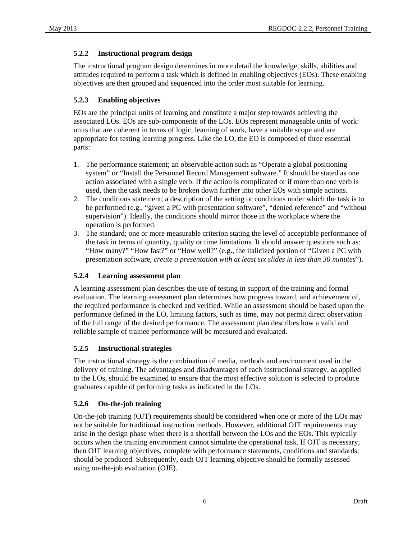## <span id="page-11-0"></span>**5.2.2 Instructional program design**

The instructional program design determines in more detail the knowledge, skills, abilities and attitudes required to perform a task which is defined in enabling objectives (EOs). These enabling objectives are then grouped and sequenced into the order most suitable for learning.

## **5.2.3 Enabling objectives**

EOs are the principal units of learning and constitute a major step towards achieving the associated LOs. EOs are sub-components of the LOs. EOs represent manageable units of work: units that are coherent in terms of logic, learning of work, have a suitable scope and are appropriate for testing learning progress. Like the LO, the EO is composed of three essential parts:

- 1. The performance statement; an observable action such as "Operate a global positioning system" or "Install the Personnel Record Management software." It should be stated as one action associated with a single verb. If the action is complicated or if more than one verb is used, then the task needs to be broken down further into other EOs with simple actions.
- 2. The conditions statement; a description of the setting or conditions under which the task is to be performed (e.g., "given a PC with presentation software", "denied reference" and "without supervision"). Ideally, the conditions should mirror those in the workplace where the operation is performed.
- 3. The standard; one or more measurable criterion stating the level of acceptable performance of the task in terms of quantity, quality or time limitations. It should answer questions such as: "How many?" "How fast?" or "How well?" (e.g., the italicized portion of "Given a PC with presentation software, *create a presentation with at least six slides in less than 30 minutes*").

## **5.2.4 Learning assessment plan**

A learning assessment plan describes the use of testing in support of the training and formal evaluation. The learning assessment plan determines how progress toward, and achievement of, the required performance is checked and verified. While an assessment should be based upon the performance defined in the LO, limiting factors, such as time, may not permit direct observation of the full range of the desired performance. The assessment plan describes how a valid and reliable sample of trainee performance will be measured and evaluated.

## **5.2.5 Instructional strategies**

The instructional strategy is the combination of media, methods and environment used in the delivery of training. The advantages and disadvantages of each instructional strategy, as applied to the LOs, should be examined to ensure that the most effective solution is selected to produce graduates capable of performing tasks as indicated in the LOs.

## **5.2.6 On-the-job training**

On-the-job training (OJT) requirements should be considered when one or more of the LOs may not be suitable for traditional instruction methods. However, additional OJT requirements may arise in the design phase when there is a shortfall between the LOs and the EOs. This typically occurs when the training environment cannot simulate the operational task. If OJT is necessary, then OJT learning objectives, complete with performance statements, conditions and standards, should be produced. Subsequently, each OJT learning objective should be formally assessed using on-the-job evaluation (OJE).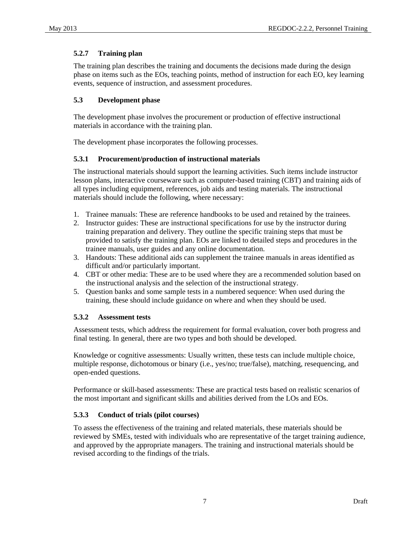## <span id="page-12-0"></span>**5.2.7 Training plan**

The training plan describes the training and documents the decisions made during the design phase on items such as the EOs, teaching points, method of instruction for each EO, key learning events, sequence of instruction, and assessment procedures.

## **5.3 Development phase**

The development phase involves the procurement or production of effective instructional materials in accordance with the training plan.

The development phase incorporates the following processes.

## **5.3.1 Procurement/production of instructional materials**

The instructional materials should support the learning activities. Such items include instructor lesson plans, interactive courseware such as computer-based training (CBT) and training aids of all types including equipment, references, job aids and testing materials. The instructional materials should include the following, where necessary:

- 1. Trainee manuals: These are reference handbooks to be used and retained by the trainees.
- 2. Instructor guides: These are instructional specifications for use by the instructor during training preparation and delivery. They outline the specific training steps that must be provided to satisfy the training plan. EOs are linked to detailed steps and procedures in the trainee manuals, user guides and any online documentation.
- 3. Handouts: These additional aids can supplement the trainee manuals in areas identified as difficult and/or particularly important.
- 4. CBT or other media: These are to be used where they are a recommended solution based on the instructional analysis and the selection of the instructional strategy.
- 5. Question banks and some sample tests in a numbered sequence: When used during the training, these should include guidance on where and when they should be used.

## **5.3.2 Assessment tests**

Assessment tests, which address the requirement for formal evaluation, cover both progress and final testing. In general, there are two types and both should be developed.

Knowledge or cognitive assessments: Usually written, these tests can include multiple choice, multiple response, dichotomous or binary (i.e., yes/no; true/false), matching, resequencing, and open-ended questions.

Performance or skill-based assessments: These are practical tests based on realistic scenarios of the most important and significant skills and abilities derived from the LOs and EOs.

## **5.3.3 Conduct of trials (pilot courses)**

To assess the effectiveness of the training and related materials, these materials should be reviewed by SMEs, tested with individuals who are representative of the target training audience, and approved by the appropriate managers. The training and instructional materials should be revised according to the findings of the trials.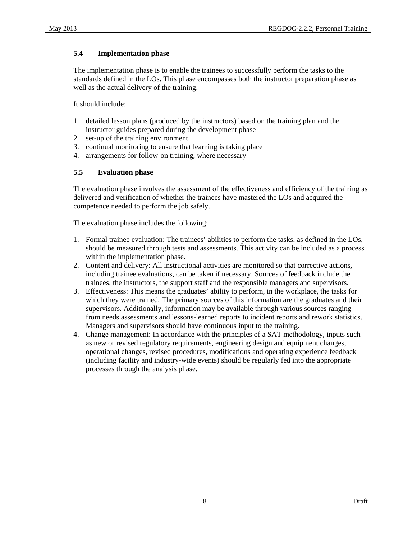#### <span id="page-13-0"></span>**5.4 Implementation phase**

The implementation phase is to enable the trainees to successfully perform the tasks to the standards defined in the LOs. This phase encompasses both the instructor preparation phase as well as the actual delivery of the training.

It should include:

- 1. detailed lesson plans (produced by the instructors) based on the training plan and the instructor guides prepared during the development phase
- 2. set-up of the training environment
- 3. continual monitoring to ensure that learning is taking place
- 4. arrangements for follow-on training, where necessary

#### **5.5 Evaluation phase**

The evaluation phase involves the assessment of the effectiveness and efficiency of the training as delivered and verification of whether the trainees have mastered the LOs and acquired the competence needed to perform the job safely.

The evaluation phase includes the following:

- 1. Formal trainee evaluation: The trainees' abilities to perform the tasks, as defined in the LOs, should be measured through tests and assessments. This activity can be included as a process within the implementation phase.
- 2. Content and delivery: All instructional activities are monitored so that corrective actions, including trainee evaluations, can be taken if necessary. Sources of feedback include the trainees, the instructors, the support staff and the responsible managers and supervisors.
- 3. Effectiveness: This means the graduates' ability to perform, in the workplace, the tasks for which they were trained. The primary sources of this information are the graduates and their supervisors. Additionally, information may be available through various sources ranging from needs assessments and lessons-learned reports to incident reports and rework statistics. Managers and supervisors should have continuous input to the training.
- 4. Change management: In accordance with the principles of a SAT methodology, inputs such as new or revised regulatory requirements, engineering design and equipment changes, operational changes, revised procedures, modifications and operating experience feedback (including facility and industry-wide events) should be regularly fed into the appropriate processes through the analysis phase.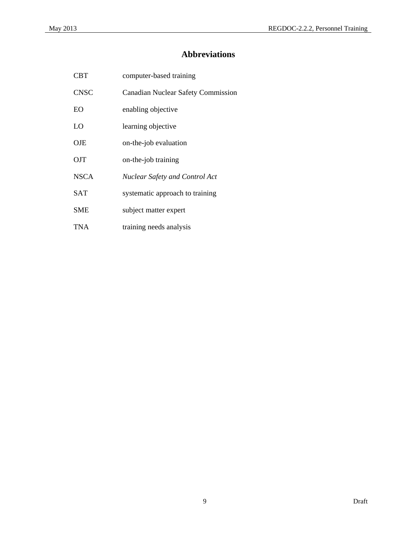# **Abbreviations**

<span id="page-14-0"></span>

| <b>CBT</b>  | computer-based training                   |
|-------------|-------------------------------------------|
| <b>CNSC</b> | <b>Canadian Nuclear Safety Commission</b> |
| EO          | enabling objective                        |
| LO          | learning objective                        |
| OJE         | on-the-job evaluation                     |
| OJT         | on-the-job training                       |
| <b>NSCA</b> | <b>Nuclear Safety and Control Act</b>     |
| <b>SAT</b>  | systematic approach to training           |
| <b>SME</b>  | subject matter expert                     |
| TNA         | training needs analysis                   |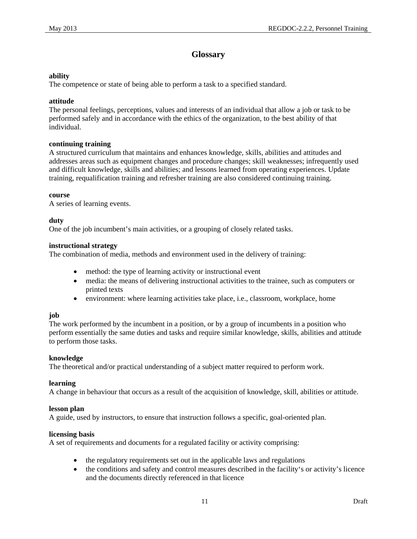# **Glossary**

#### <span id="page-16-0"></span>**ability**

The competence or state of being able to perform a task to a specified standard.

#### **attitude**

The personal feelings, perceptions, values and interests of an individual that allow a job or task to be performed safely and in accordance with the ethics of the organization, to the best ability of that individual.

#### **continuing training**

A structured curriculum that maintains and enhances knowledge, skills, abilities and attitudes and addresses areas such as equipment changes and procedure changes; skill weaknesses; infrequently used and difficult knowledge, skills and abilities; and lessons learned from operating experiences. Update training, requalification training and refresher training are also considered continuing training.

#### **course**

A series of learning events.

#### **duty**

One of the job incumbent's main activities, or a grouping of closely related tasks.

#### **instructional strategy**

The combination of media, methods and environment used in the delivery of training:

- method: the type of learning activity or instructional event
- media: the means of delivering instructional activities to the trainee, such as computers or printed texts
- environment: where learning activities take place, i.e., classroom, workplace, home

#### **job**

The work performed by the incumbent in a position, or by a group of incumbents in a position who perform essentially the same duties and tasks and require similar knowledge, skills, abilities and attitude to perform those tasks.

#### **knowledge**

The theoretical and/or practical understanding of a subject matter required to perform work.

#### **learning**

A change in behaviour that occurs as a result of the acquisition of knowledge, skill, abilities or attitude.

#### **lesson plan**

A guide, used by instructors, to ensure that instruction follows a specific, goal-oriented plan.

#### **licensing basis**

A set of requirements and documents for a regulated facility or activity comprising:

- the regulatory requirements set out in the applicable laws and regulations
- the conditions and safety and control measures described in the facility's or activity's licence and the documents directly referenced in that licence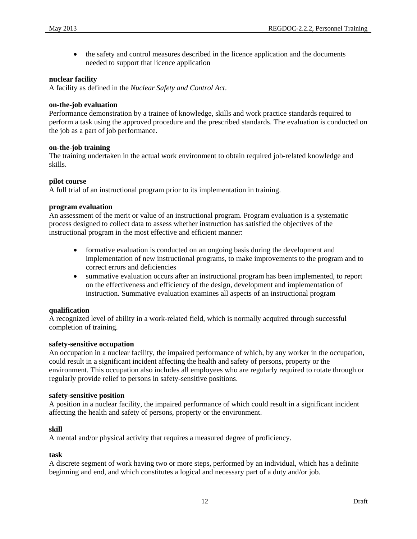• the safety and control measures described in the licence application and the documents needed to support that licence application

#### **nuclear facility**

A facility as defined in the *Nuclear Safety and Control Act*.

#### **on-the-job evaluation**

Performance demonstration by a trainee of knowledge, skills and work practice standards required to perform a task using the approved procedure and the prescribed standards. The evaluation is conducted on the job as a part of job performance.

#### **on-the-job training**

The training undertaken in the actual work environment to obtain required job-related knowledge and skills.

#### **pilot course**

A full trial of an instructional program prior to its implementation in training.

#### **program evaluation**

An assessment of the merit or value of an instructional program. Program evaluation is a systematic process designed to collect data to assess whether instruction has satisfied the objectives of the instructional program in the most effective and efficient manner:

- formative evaluation is conducted on an ongoing basis during the development and implementation of new instructional programs, to make improvements to the program and to correct errors and deficiencies
- summative evaluation occurs after an instructional program has been implemented, to report on the effectiveness and efficiency of the design, development and implementation of instruction. Summative evaluation examines all aspects of an instructional program

#### **qualification**

A recognized level of ability in a work-related field, which is normally acquired through successful completion of training.

#### **safety-sensitive occupation**

An occupation in a nuclear facility, the impaired performance of which, by any worker in the occupation, could result in a significant incident affecting the health and safety of persons, property or the environment. This occupation also includes all employees who are regularly required to rotate through or regularly provide relief to persons in safety-sensitive positions.

#### **safety-sensitive position**

A position in a nuclear facility, the impaired performance of which could result in a significant incident affecting the health and safety of persons, property or the environment.

#### **skill**

A mental and/or physical activity that requires a measured degree of proficiency.

#### **task**

A discrete segment of work having two or more steps, performed by an individual, which has a definite beginning and end, and which constitutes a logical and necessary part of a duty and/or job.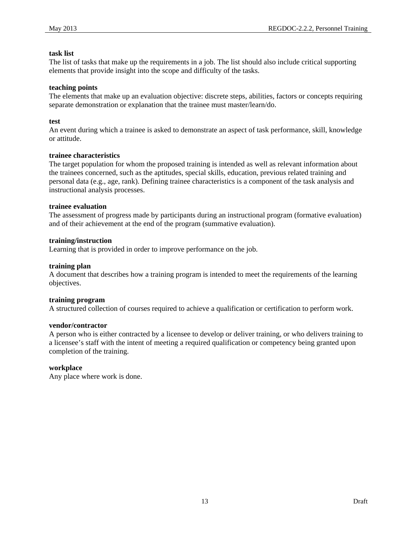#### **task list**

The list of tasks that make up the requirements in a job. The list should also include critical supporting elements that provide insight into the scope and difficulty of the tasks.

#### **teaching points**

The elements that make up an evaluation objective: discrete steps, abilities, factors or concepts requiring separate demonstration or explanation that the trainee must master/learn/do.

#### **test**

An event during which a trainee is asked to demonstrate an aspect of task performance, skill, knowledge or attitude.

#### **trainee characteristics**

The target population for whom the proposed training is intended as well as relevant information about the trainees concerned, such as the aptitudes, special skills, education, previous related training and personal data (e.g., age, rank). Defining trainee characteristics is a component of the task analysis and instructional analysis processes.

#### **trainee evaluation**

The assessment of progress made by participants during an instructional program (formative evaluation) and of their achievement at the end of the program (summative evaluation).

#### **training/instruction**

Learning that is provided in order to improve performance on the job.

#### **training plan**

A document that describes how a training program is intended to meet the requirements of the learning objectives.

#### **training program**

A structured collection of courses required to achieve a qualification or certification to perform work.

#### **vendor/contractor**

A person who is either contracted by a licensee to develop or deliver training, or who delivers training to a licensee's staff with the intent of meeting a required qualification or competency being granted upon completion of the training.

#### **workplace**

Any place where work is done.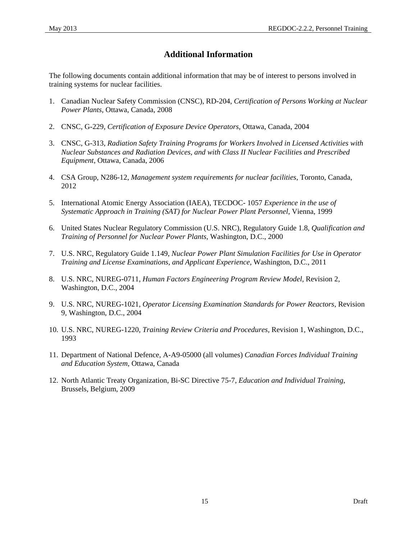# **Additional Information**

<span id="page-20-0"></span>The following documents contain additional information that may be of interest to persons involved in training systems for nuclear facilities.

- 1. Canadian Nuclear Safety Commission (CNSC), RD-204, *Certification of Persons Working at Nuclear Power Plants*, Ottawa, Canada, 2008
- 2. CNSC, G-229, *Certification of Exposure Device Operators*, Ottawa, Canada, 2004
- 3. CNSC, G-313, *Radiation Safety Training Programs for Workers Involved in Licensed Activities with Nuclear Substances and Radiation Devices, and with Class II Nuclear Facilities and Prescribed Equipment*, Ottawa, Canada, 2006
- 4. CSA Group, N286-12, *Management system requirements for nuclear facilities,* Toronto, Canada, 2012
- 5. International Atomic Energy Association (IAEA), TECDOC- 1057 *Experience in the use of Systematic Approach in Training (SAT) for Nuclear Power Plant Personnel*, Vienna, 1999
- 6. United States Nuclear Regulatory Commission (U.S. NRC), Regulatory Guide 1.8, *Qualification and Training of Personnel for Nuclear Power Plants,* Washington, D.C., 2000
- 7. U.S. NRC, Regulatory Guide 1.149, *Nuclear Power Plant Simulation Facilities for Use in Operator Training and License Examinations, and Applicant Experience,* Washington, D.C., 2011
- 8. U.S. NRC, NUREG-0711, *Human Factors Engineering Program Review Model,* Revision 2*,*  Washington, D.C., 2004
- 9. U.S. NRC, NUREG-1021, *Operator Licensing Examination Standards for Power Reactors,* Revision 9*,* Washington, D.C., 2004
- 10. U.S. NRC, NUREG-1220, *Training Review Criteria and Procedures,* Revision 1*,* Washington, D.C., 1993
- 11. Department of National Defence, A-A9-05000 (all volumes) *Canadian Forces Individual Training and Education System*, Ottawa, Canada
- 12. North Atlantic Treaty Organization, Bi-SC Directive 75-7, *Education and Individual Training*, Brussels, Belgium, 2009